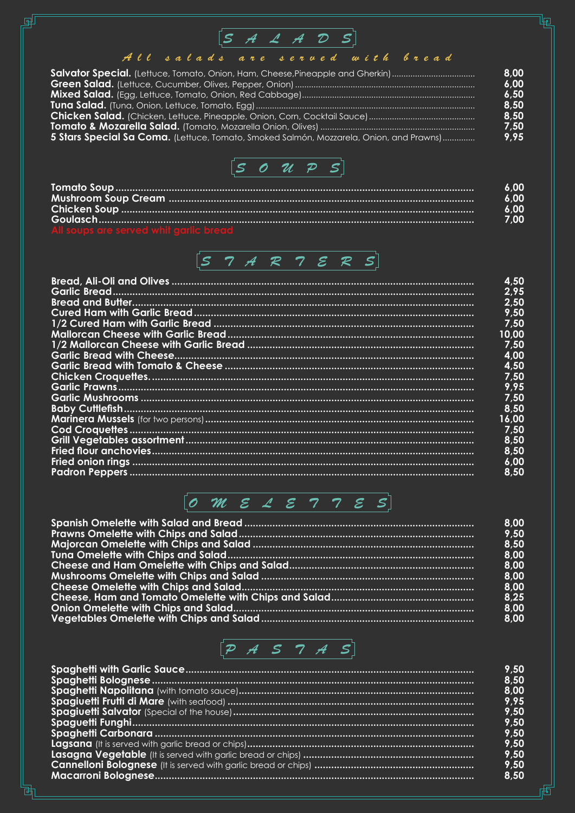## $[S \quad A \quad A \quad D \quad S]$

<br>吧

庙

து

### All salads are served with bread

| Salvator Special. (Lettuce, Tomato, Onion, Ham, Cheese,Pineapple and Gherkin)           | 8.00 |
|-----------------------------------------------------------------------------------------|------|
|                                                                                         | 6,00 |
|                                                                                         | 6,50 |
|                                                                                         | 8,50 |
|                                                                                         | 8,50 |
|                                                                                         | 7,50 |
| 5 Stars Special Sa Coma. (Lettuce, Tomato, Smoked Salmón, Mozzarela, Onion, and Prawns) | 9,95 |
|                                                                                         |      |



|                                       | 6.00 |
|---------------------------------------|------|
|                                       | 6.00 |
|                                       | 6.00 |
|                                       | 7.00 |
| All soups are served whit agric bread |      |



## $[0 M \epsilon 2 \epsilon 7 7 \epsilon s]$

| 8,00 |
|------|
| 9,50 |
| 8,50 |
| 8,00 |
| 8,00 |
| 8,00 |
| 8,00 |
| 8,25 |
| 8,00 |
| 8,00 |



| 9,50 |
|------|
| 8,50 |
| 8,00 |
| 9,95 |
| 9,50 |
| 9,50 |
| 9,50 |
| 9,50 |
| 9,50 |
| 9,50 |
| 8,50 |
|      |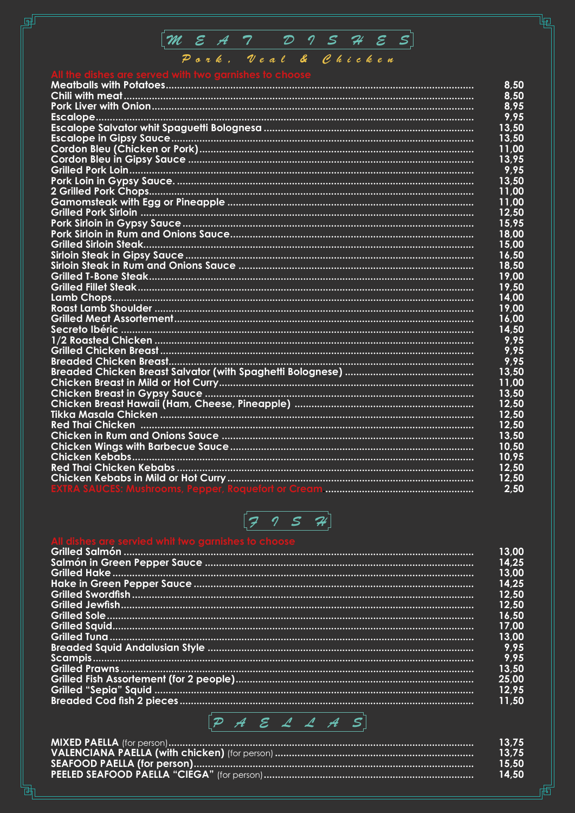

தி

襾

| 8,50  |
|-------|
| 8,50  |
| 8,95  |
| 9,95  |
| 13,50 |
| 13,50 |
| 11,00 |
| 13,95 |
| 9,95  |
| 13,50 |
| 11,00 |
| 11.00 |
| 12,50 |
| 15,95 |
| 18,00 |
| 15,00 |
| 16,50 |
| 18,50 |
| 19,00 |
| 19,50 |
| 14,00 |
| 19,00 |
| 16,00 |
| 14,50 |
| 9,95  |
| 9,95  |
| 9,95  |
| 13,50 |
| 11,00 |
| 13,50 |
| 12,50 |
| 12,50 |
| 12,50 |
| 13,50 |
| 10,50 |
| 10,95 |
| 12,50 |
| 12,50 |
| 2,50  |
|       |



| 13,00 |
|-------|
| 14,25 |
| 13,00 |
| 14,25 |
| 12,50 |
| 12,50 |
| 16,50 |
| 17,00 |
| 13,00 |
| 9,95  |
| 9,95  |
| 13,50 |
| 25,00 |
| 12,95 |
| 11.50 |
|       |



|                                                                                        | 13.75 |
|----------------------------------------------------------------------------------------|-------|
| <u>「VALENCIANA</u> PAELLA (with chicken) (for person) …………………………………………………………………………………… | 13.75 |
|                                                                                        | 15.50 |
|                                                                                        | 14.50 |

.<br>R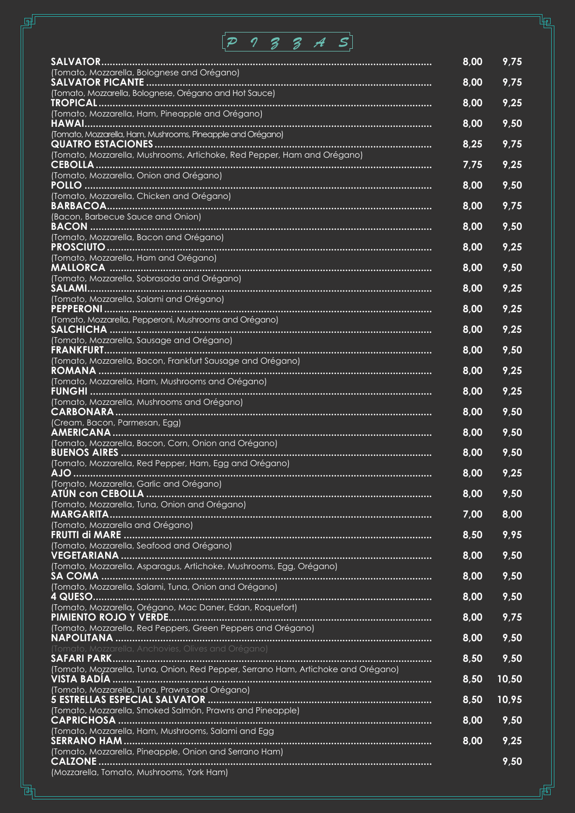# *PIZZAS*

தி

勯

|                                                                                                                                                                   | 8,00 | 9,75  |
|-------------------------------------------------------------------------------------------------------------------------------------------------------------------|------|-------|
| (Tomato, Mozzarella, Bolognese and Orégano)                                                                                                                       | 8,00 | 9,75  |
| (Tomato, Mozzarella, Bolognese, Orégano and Hot Sauce)                                                                                                            | 8,00 | 9,25  |
| (Tomato, Mozzarella, Ham, Pineapple and Orégano)                                                                                                                  | 8,00 | 9,50  |
| (Tomato, Mozzarella, Ham, Mushrooms, Pineapple and Orégano)                                                                                                       | 8,25 | 9,75  |
| (Tomato, Mozzarella, Mushrooms, Artichoke, Red Pepper, Ham and Orégano)                                                                                           | 7,75 | 9,25  |
| (Tomato, Mozzarella, Onion and Orégano)                                                                                                                           | 8,00 | 9,50  |
| (Tomato, Mozzarella, Chicken and Orégano)                                                                                                                         | 8,00 | 9,75  |
| (Bacon, Barbecue Sauce and Onion)                                                                                                                                 | 8,00 | 9,50  |
| (Tomato, Mozzarella, Bacon and Orégano)                                                                                                                           | 8,00 | 9,25  |
| (Tomato, Mozzarella, Ham and Orégano)                                                                                                                             | 8,00 | 9,50  |
| (Tomato, Mozzarella, Sobrasada and Orégano)                                                                                                                       | 8,00 | 9,25  |
| (Tomato, Mozzarella, Salami and Orégano)                                                                                                                          | 8,00 | 9,25  |
| (Tomato, Mozzarella, Pepperoni, Mushrooms and Orégano)                                                                                                            | 8,00 | 9,25  |
| (Tomato, Mozzarella, Sausage and Orégano)                                                                                                                         | 8,00 | 9,50  |
| (Tomato, Mozzarella, Bacon, Frankfurt Sausage and Orégano)                                                                                                        | 8,00 | 9,25  |
| (Tomato, Mozzarella, Ham, Mushrooms and Orégano)                                                                                                                  | 8,00 | 9,25  |
| (Tomato, Mozzarella, Mushrooms and Orégano)                                                                                                                       |      |       |
| (Cream, Bacon, Parmesan, Egg)                                                                                                                                     | 8,00 | 9,50  |
| (Tomato, Mozzarella, Bacon, Corn, Onion and Orégano)                                                                                                              | 8,00 | 9,50  |
| (Tomato, Mozzarella, Red Pepper, Ham, Egg and Orégano)                                                                                                            | 8,00 | 9,50  |
| (Tomato, Mozzarella, Garlic and Orégano)                                                                                                                          | 8,00 | 9,25  |
| (Tomato, Mozzarella, Tuna, Onion and Orégano)                                                                                                                     | 8,00 | 9,50  |
| (Tomato, Mozzarella and Orégano)                                                                                                                                  | 7,00 | 8,00  |
| (Tomato, Mozzarella, Seafood and Orégano)                                                                                                                         | 8,50 | 9,95  |
| (Tomato, Mozzarella, Asparagus, Artichoke, Mushrooms, Egg, Orégano)                                                                                               | 8,00 | 9,50  |
| (Tomato, Mozzarella, Salami, Tuna, Onion and Orégano)                                                                                                             | 8,00 | 9,50  |
| (Tomato, Mozzarella, Orégano, Mac Daner, Edan, Roquefort)                                                                                                         | 8,00 | 9,50  |
| (Tomato, Mozzarella, Red Peppers, Green Peppers and Orégano)                                                                                                      | 8,00 | 9,75  |
| (Tomato, Mozzarella, Anchovies, Olives and Orégano)                                                                                                               | 8,00 | 9,50  |
| (Tomato, Mozzarella, Tuna, Onion, Red Pepper, Serrano Ham, Artichoke and Orégano)                                                                                 | 8,50 | 9,50  |
| (Tomato, Mozzarella, Tuna, Prawns and Orégano)                                                                                                                    | 8,50 | 10,50 |
|                                                                                                                                                                   | 8,50 | 10,95 |
| (Tomato, Mozzarella, Smoked Salmón, Prawns and Pineapple)                                                                                                         | 8,00 | 9,50  |
| (Tomato, Mozzarella, Ham, Mushrooms, Salami and Egg                                                                                                               | 8,00 | 9,25  |
| (Tomato, Mozzarella, Pineapple, Onion and Serrano Ham)                                                                                                            |      | 9,50  |
| (Mozzarella, Tomato, Mushrooms, York Ham)<br><u> 1989 - Johann Stoff, deutscher Stoff, der Stoff, deutscher Stoff, der Stoff, der Stoff, der Stoff, der Stoff</u> |      |       |

盾

囤